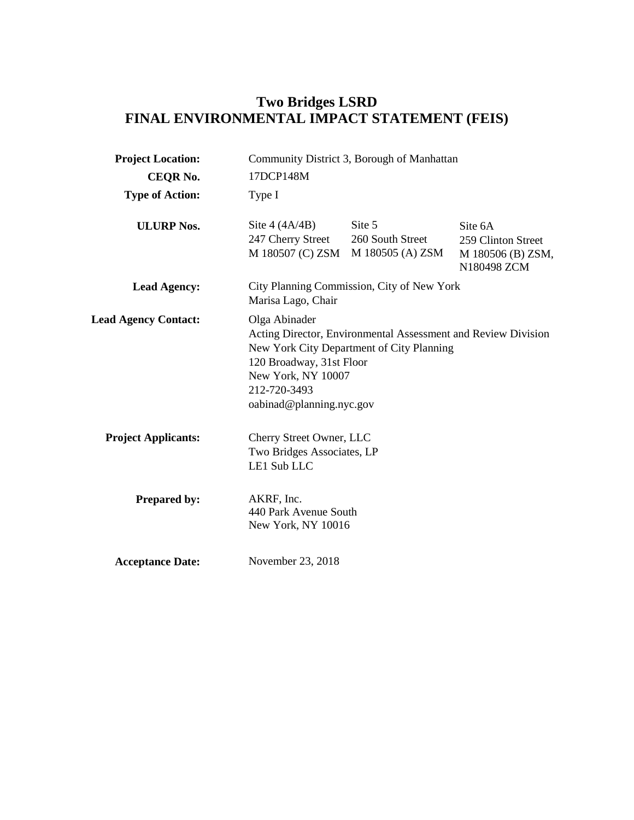# **Two Bridges LSRD FINAL ENVIRONMENTAL IMPACT STATEMENT (FEIS)**

| <b>Project Location:</b>    | Community District 3, Borough of Manhattan                                                                  |                                                                                                            |                                                                   |
|-----------------------------|-------------------------------------------------------------------------------------------------------------|------------------------------------------------------------------------------------------------------------|-------------------------------------------------------------------|
| <b>CEQR No.</b>             | 17DCP148M                                                                                                   |                                                                                                            |                                                                   |
| <b>Type of Action:</b>      | Type I                                                                                                      |                                                                                                            |                                                                   |
| <b>ULURP Nos.</b>           | Site $4 (4A/4B)$<br>247 Cherry Street<br>M 180507 (C) ZSM                                                   | Site 5<br>260 South Street<br>M 180505 (A) ZSM                                                             | Site 6A<br>259 Clinton Street<br>M 180506 (B) ZSM,<br>N180498 ZCM |
| <b>Lead Agency:</b>         | Marisa Lago, Chair                                                                                          | City Planning Commission, City of New York                                                                 |                                                                   |
| <b>Lead Agency Contact:</b> | Olga Abinader<br>120 Broadway, 31st Floor<br>New York, NY 10007<br>212-720-3493<br>oabinad@planning.nyc.gov | Acting Director, Environmental Assessment and Review Division<br>New York City Department of City Planning |                                                                   |
| <b>Project Applicants:</b>  | Cherry Street Owner, LLC<br>Two Bridges Associates, LP<br>LE1 Sub LLC                                       |                                                                                                            |                                                                   |
| <b>Prepared by:</b>         | AKRF, Inc.<br>440 Park Avenue South<br>New York, NY 10016                                                   |                                                                                                            |                                                                   |
| <b>Acceptance Date:</b>     | November 23, 2018                                                                                           |                                                                                                            |                                                                   |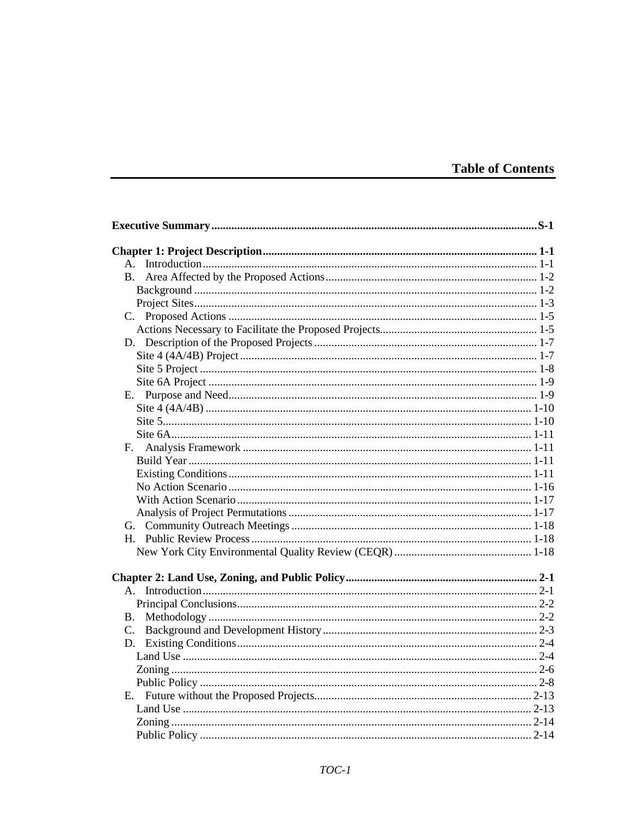|  |  | <b>Table of Contents</b> |  |
|--|--|--------------------------|--|
|  |  |                          |  |

| $A_{\cdot}$ |  |
|-------------|--|
| <b>B.</b>   |  |
|             |  |
|             |  |
|             |  |
|             |  |
|             |  |
|             |  |
|             |  |
|             |  |
|             |  |
|             |  |
|             |  |
|             |  |
|             |  |
|             |  |
|             |  |
|             |  |
|             |  |
|             |  |
|             |  |
|             |  |
|             |  |
|             |  |
| $A_{-}$     |  |
|             |  |
| B.          |  |
| C.          |  |
|             |  |
|             |  |
|             |  |
|             |  |
|             |  |
|             |  |
|             |  |
|             |  |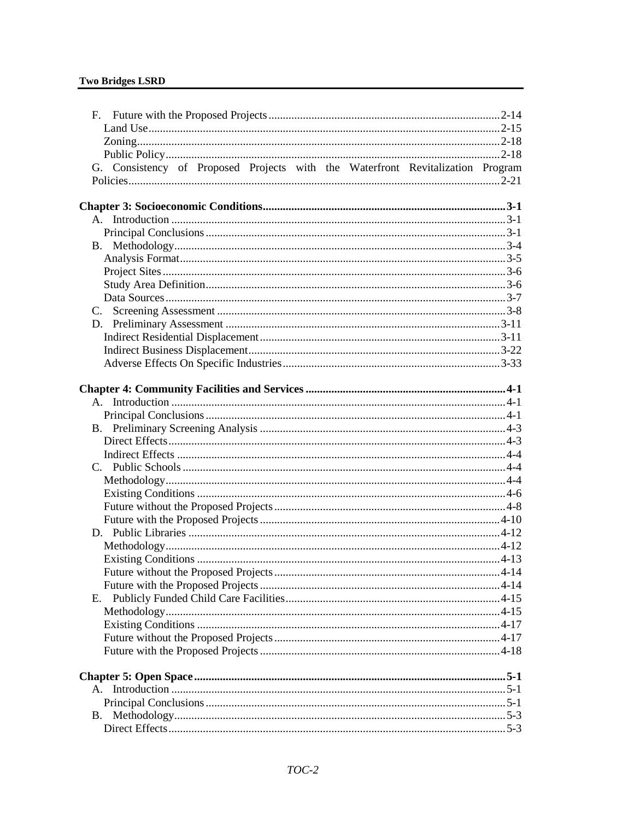|           | G. Consistency of Proposed Projects with the Waterfront Revitalization Program |  |
|-----------|--------------------------------------------------------------------------------|--|
|           |                                                                                |  |
|           |                                                                                |  |
|           |                                                                                |  |
|           |                                                                                |  |
|           |                                                                                |  |
|           |                                                                                |  |
|           |                                                                                |  |
|           |                                                                                |  |
|           |                                                                                |  |
|           |                                                                                |  |
|           |                                                                                |  |
|           |                                                                                |  |
|           |                                                                                |  |
|           |                                                                                |  |
|           |                                                                                |  |
|           |                                                                                |  |
|           |                                                                                |  |
|           |                                                                                |  |
|           |                                                                                |  |
|           |                                                                                |  |
|           |                                                                                |  |
|           |                                                                                |  |
|           |                                                                                |  |
|           |                                                                                |  |
|           |                                                                                |  |
|           |                                                                                |  |
|           |                                                                                |  |
|           |                                                                                |  |
|           |                                                                                |  |
|           |                                                                                |  |
| Е.        |                                                                                |  |
|           |                                                                                |  |
|           |                                                                                |  |
|           |                                                                                |  |
|           |                                                                                |  |
|           |                                                                                |  |
|           |                                                                                |  |
|           |                                                                                |  |
|           |                                                                                |  |
| <b>B.</b> |                                                                                |  |
|           |                                                                                |  |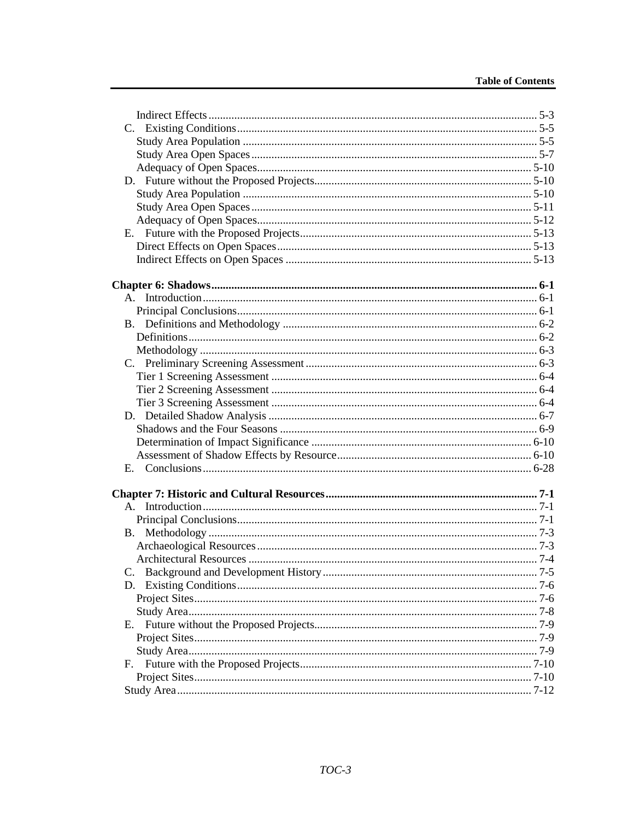| E.        |  |
|-----------|--|
|           |  |
|           |  |
|           |  |
| <b>B.</b> |  |
|           |  |
|           |  |
|           |  |
|           |  |
|           |  |
|           |  |
| E.,       |  |
|           |  |
|           |  |
| Е.        |  |
|           |  |
|           |  |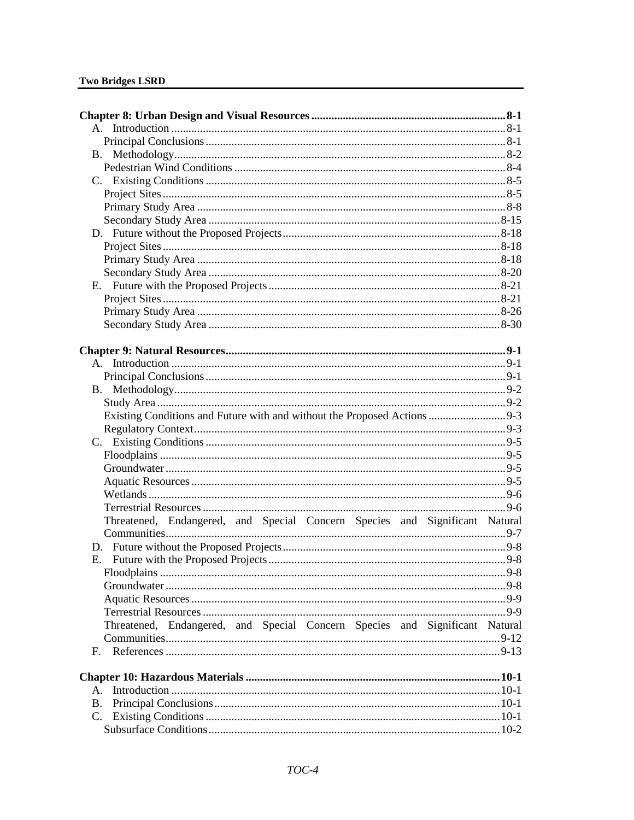|                | Existing Conditions and Future with and without the Proposed Actions  9-3   |  |
|----------------|-----------------------------------------------------------------------------|--|
|                |                                                                             |  |
|                |                                                                             |  |
|                |                                                                             |  |
|                |                                                                             |  |
|                |                                                                             |  |
|                |                                                                             |  |
|                |                                                                             |  |
|                | Threatened, Endangered, and Special Concern Species and Significant Natural |  |
|                |                                                                             |  |
|                |                                                                             |  |
|                |                                                                             |  |
|                |                                                                             |  |
|                |                                                                             |  |
|                |                                                                             |  |
|                |                                                                             |  |
|                | Threatened, Endangered, and Special Concern Species and Significant Natural |  |
|                |                                                                             |  |
| $\mathbf{F}$ . |                                                                             |  |
|                |                                                                             |  |
|                |                                                                             |  |
| $A_{\cdot}$    |                                                                             |  |
| <b>B.</b>      |                                                                             |  |
| C.             |                                                                             |  |
|                |                                                                             |  |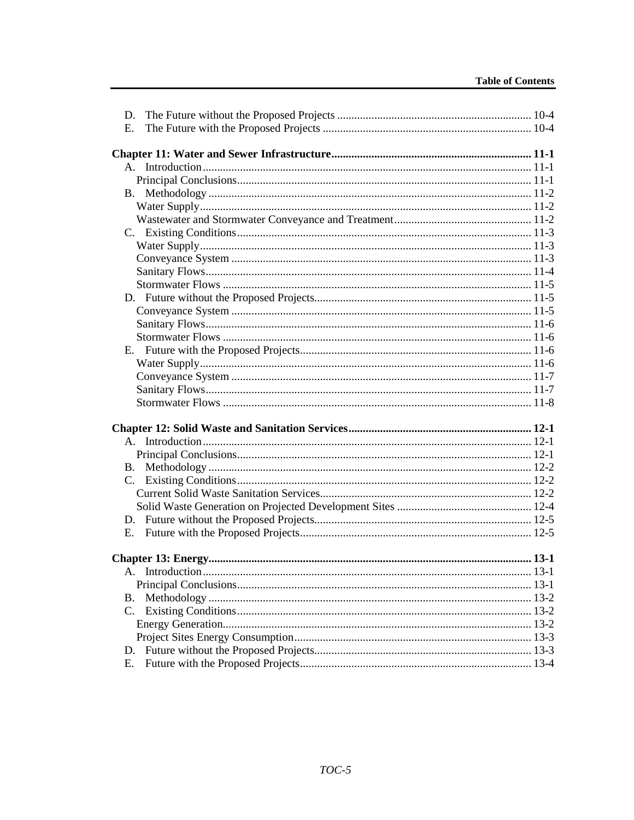| D.        |         |
|-----------|---------|
| Е.        |         |
|           |         |
|           |         |
|           |         |
|           |         |
|           |         |
|           |         |
|           |         |
|           |         |
|           |         |
|           |         |
|           |         |
|           |         |
|           |         |
|           |         |
|           |         |
|           |         |
| Е.        |         |
|           |         |
|           |         |
|           |         |
|           |         |
|           |         |
|           |         |
|           |         |
|           |         |
| <b>B.</b> |         |
| C.        |         |
|           |         |
|           |         |
|           |         |
| E.        |         |
|           |         |
|           |         |
|           | $.13-1$ |
|           |         |
| В.        |         |
| C.        |         |
|           |         |
|           |         |
|           |         |
| Е.        |         |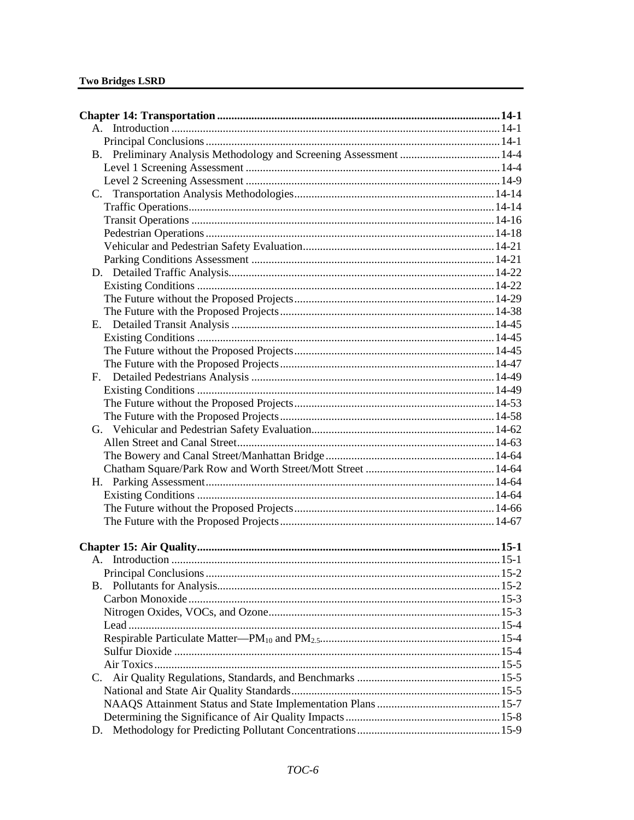| D. |  |
|----|--|
|    |  |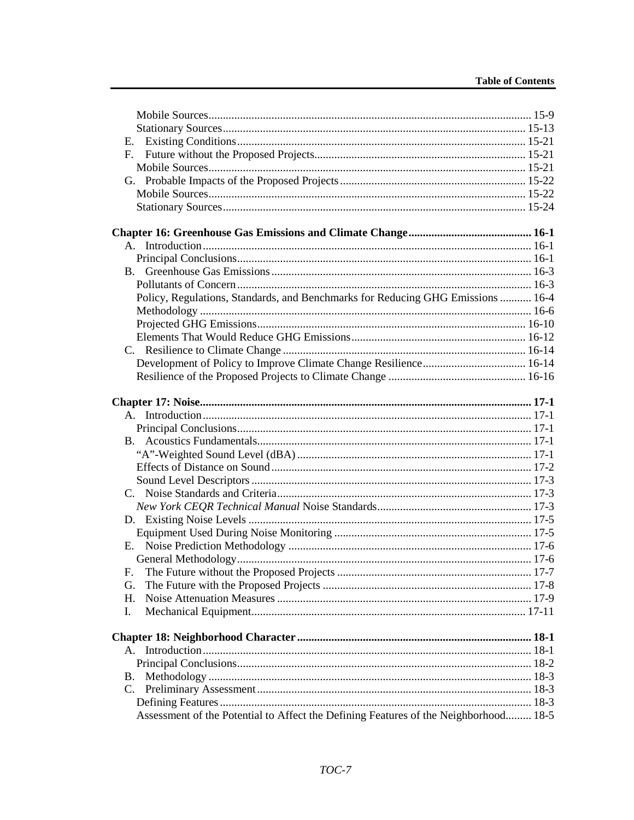| Е.                                                                                   |  |
|--------------------------------------------------------------------------------------|--|
| $F_{\cdot}$                                                                          |  |
|                                                                                      |  |
|                                                                                      |  |
|                                                                                      |  |
|                                                                                      |  |
|                                                                                      |  |
|                                                                                      |  |
|                                                                                      |  |
|                                                                                      |  |
|                                                                                      |  |
|                                                                                      |  |
| Policy, Regulations, Standards, and Benchmarks for Reducing GHG Emissions  16-4      |  |
|                                                                                      |  |
|                                                                                      |  |
|                                                                                      |  |
|                                                                                      |  |
|                                                                                      |  |
|                                                                                      |  |
|                                                                                      |  |
|                                                                                      |  |
|                                                                                      |  |
|                                                                                      |  |
|                                                                                      |  |
|                                                                                      |  |
|                                                                                      |  |
|                                                                                      |  |
|                                                                                      |  |
|                                                                                      |  |
|                                                                                      |  |
|                                                                                      |  |
|                                                                                      |  |
|                                                                                      |  |
| F.                                                                                   |  |
| G.                                                                                   |  |
| H.                                                                                   |  |
| Ι.                                                                                   |  |
|                                                                                      |  |
|                                                                                      |  |
|                                                                                      |  |
|                                                                                      |  |
| B.                                                                                   |  |
|                                                                                      |  |
|                                                                                      |  |
| Assessment of the Potential to Affect the Defining Features of the Neighborhood 18-5 |  |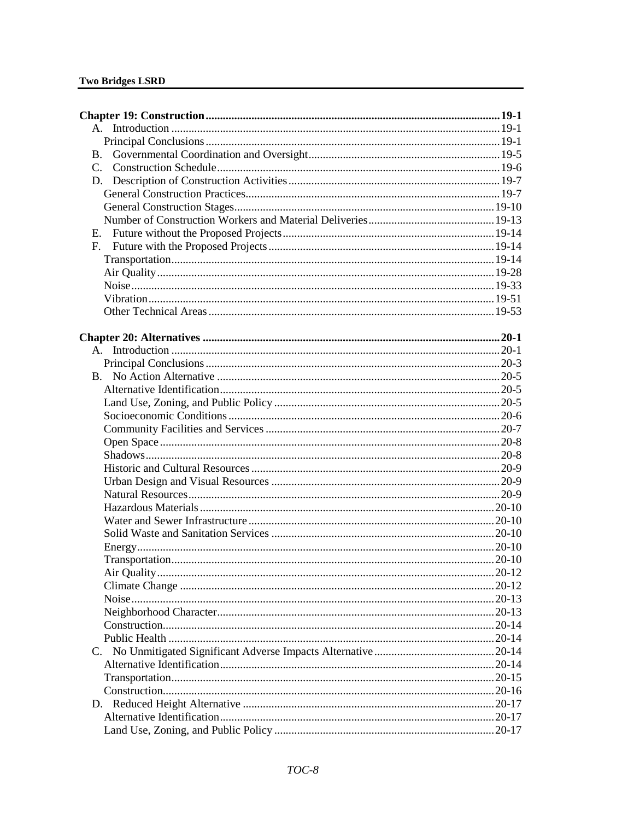| <b>B.</b> |  |
|-----------|--|
|           |  |
|           |  |
|           |  |
|           |  |
|           |  |
|           |  |
|           |  |
|           |  |
|           |  |
|           |  |
|           |  |
|           |  |
|           |  |
|           |  |
|           |  |
|           |  |
|           |  |
|           |  |
|           |  |
|           |  |
|           |  |
|           |  |
|           |  |
|           |  |
|           |  |
|           |  |
|           |  |
|           |  |
|           |  |
|           |  |
|           |  |
|           |  |
|           |  |
|           |  |
|           |  |
|           |  |
|           |  |
|           |  |
|           |  |
|           |  |
|           |  |
|           |  |
|           |  |
|           |  |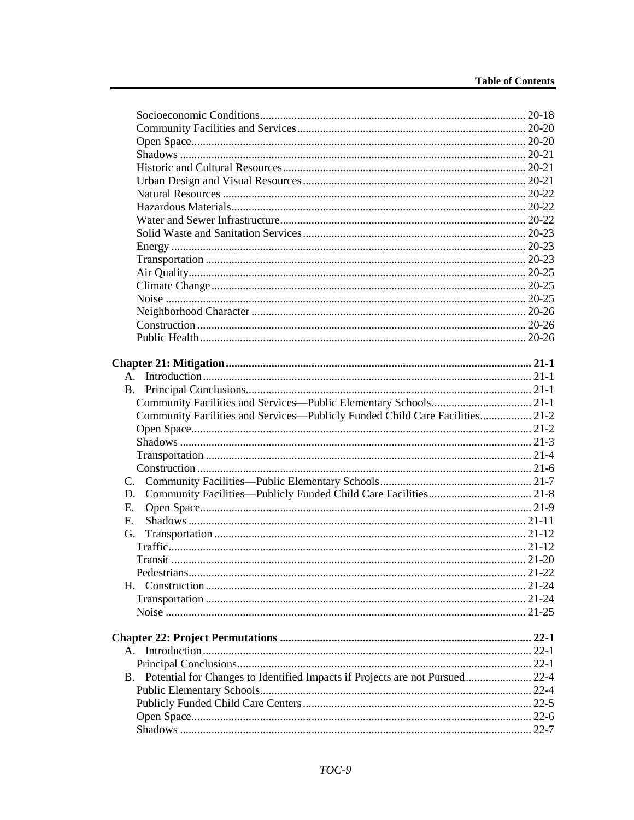| B.                                                                              |            |
|---------------------------------------------------------------------------------|------------|
|                                                                                 |            |
| Community Facilities and Services—Publicly Funded Child Care Facilities 21-2    |            |
|                                                                                 |            |
|                                                                                 |            |
|                                                                                 |            |
|                                                                                 |            |
|                                                                                 |            |
| D.                                                                              |            |
| Е.                                                                              |            |
| $F_{\rm c}$                                                                     |            |
| G.                                                                              |            |
|                                                                                 |            |
|                                                                                 |            |
| Pedestrians                                                                     | $.21 - 22$ |
|                                                                                 |            |
|                                                                                 |            |
|                                                                                 |            |
|                                                                                 |            |
|                                                                                 |            |
|                                                                                 |            |
|                                                                                 |            |
| B. Potential for Changes to Identified Impacts if Projects are not Pursued 22-4 |            |
|                                                                                 |            |
|                                                                                 |            |
|                                                                                 |            |
|                                                                                 |            |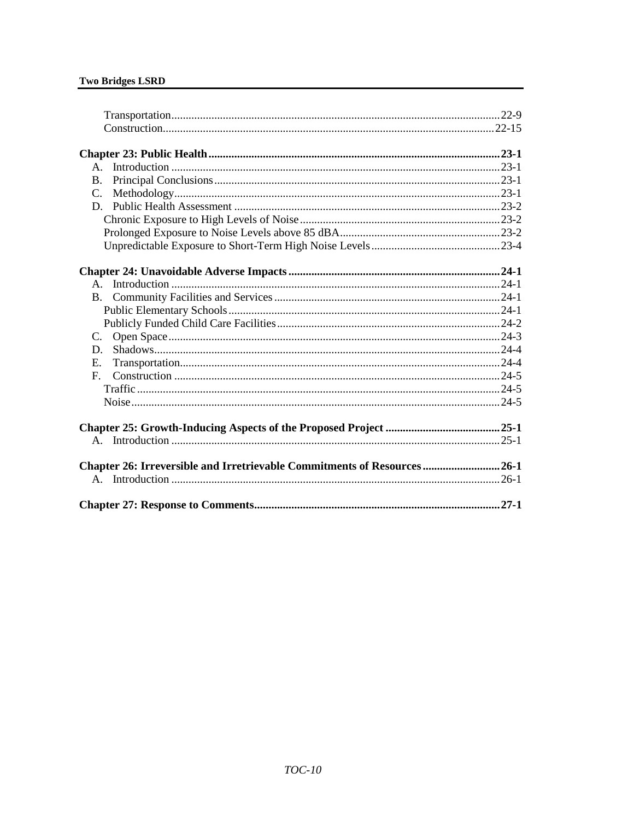| $A_{-}$                                                                 |  |
|-------------------------------------------------------------------------|--|
| <b>B.</b>                                                               |  |
| $C_{\cdot}$                                                             |  |
| D.                                                                      |  |
|                                                                         |  |
|                                                                         |  |
|                                                                         |  |
|                                                                         |  |
|                                                                         |  |
|                                                                         |  |
| <b>B.</b>                                                               |  |
|                                                                         |  |
|                                                                         |  |
| C.                                                                      |  |
| D.                                                                      |  |
| $E_{\rm c}$                                                             |  |
| $F_{\cdot}$                                                             |  |
|                                                                         |  |
|                                                                         |  |
|                                                                         |  |
|                                                                         |  |
|                                                                         |  |
|                                                                         |  |
| Chapter 26: Irreversible and Irretrievable Commitments of Resources26-1 |  |
|                                                                         |  |
|                                                                         |  |
|                                                                         |  |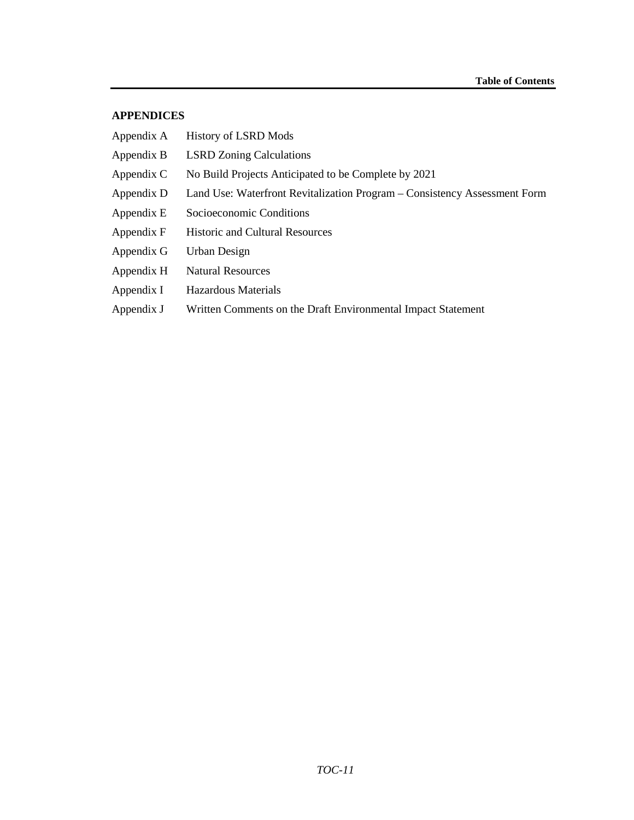#### **APPENDICES**

| Appendix A | History of LSRD Mods                                                      |
|------------|---------------------------------------------------------------------------|
| Appendix B | <b>LSRD</b> Zoning Calculations                                           |
| Appendix C | No Build Projects Anticipated to be Complete by 2021                      |
| Appendix D | Land Use: Waterfront Revitalization Program – Consistency Assessment Form |
| Appendix E | Socioeconomic Conditions                                                  |
| Appendix F | <b>Historic and Cultural Resources</b>                                    |
| Appendix G | Urban Design                                                              |
| Appendix H | <b>Natural Resources</b>                                                  |
| Appendix I | Hazardous Materials                                                       |
| Appendix J | Written Comments on the Draft Environmental Impact Statement              |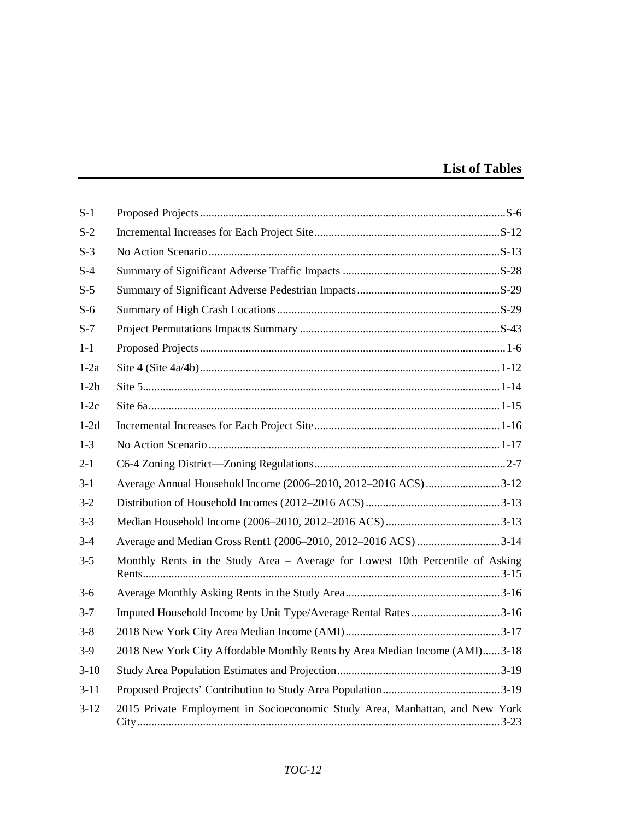# **List of Tables**

| $S-1$    |                                                                                |
|----------|--------------------------------------------------------------------------------|
| $S-2$    |                                                                                |
| $S-3$    |                                                                                |
| $S-4$    |                                                                                |
| $S-5$    |                                                                                |
| $S-6$    |                                                                                |
| $S-7$    |                                                                                |
| $1-1$    |                                                                                |
| $1-2a$   |                                                                                |
| $1-2b$   |                                                                                |
| $1-2c$   |                                                                                |
| $1-2d$   |                                                                                |
| $1-3$    |                                                                                |
| $2 - 1$  |                                                                                |
| $3-1$    | Average Annual Household Income (2006–2010, 2012–2016 ACS)3-12                 |
| $3 - 2$  |                                                                                |
| $3 - 3$  |                                                                                |
| $3-4$    |                                                                                |
| $3 - 5$  | Monthly Rents in the Study Area – Average for Lowest 10th Percentile of Asking |
| $3-6$    |                                                                                |
| $3 - 7$  | Imputed Household Income by Unit Type/Average Rental Rates 3-16                |
| $3 - 8$  |                                                                                |
| $3-9$    | 2018 New York City Affordable Monthly Rents by Area Median Income (AMI)3-18    |
| $3-10$   |                                                                                |
| $3 - 11$ |                                                                                |
| $3-12$   | 2015 Private Employment in Socioeconomic Study Area, Manhattan, and New York   |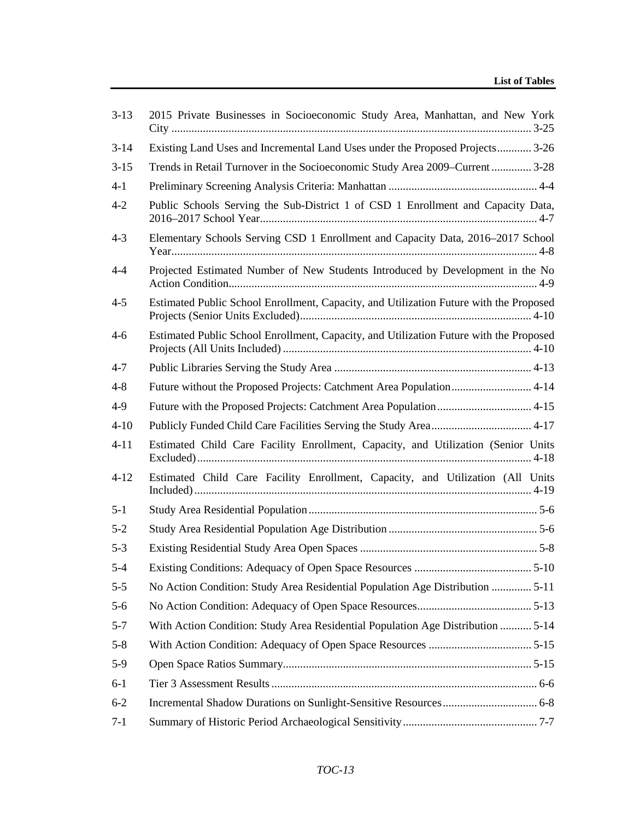| $3-13$   | 2015 Private Businesses in Socioeconomic Study Area, Manhattan, and New York           |
|----------|----------------------------------------------------------------------------------------|
| $3-14$   | Existing Land Uses and Incremental Land Uses under the Proposed Projects 3-26          |
| $3-15$   | Trends in Retail Turnover in the Socioeconomic Study Area 2009–Current  3-28           |
| $4-1$    |                                                                                        |
| $4 - 2$  | Public Schools Serving the Sub-District 1 of CSD 1 Enrollment and Capacity Data,       |
| $4 - 3$  | Elementary Schools Serving CSD 1 Enrollment and Capacity Data, 2016–2017 School        |
| $4 - 4$  | Projected Estimated Number of New Students Introduced by Development in the No         |
| $4 - 5$  | Estimated Public School Enrollment, Capacity, and Utilization Future with the Proposed |
| $4 - 6$  | Estimated Public School Enrollment, Capacity, and Utilization Future with the Proposed |
| $4 - 7$  |                                                                                        |
| $4 - 8$  |                                                                                        |
| $4-9$    | Future with the Proposed Projects: Catchment Area Population 4-15                      |
| $4 - 10$ |                                                                                        |
| $4 - 11$ | Estimated Child Care Facility Enrollment, Capacity, and Utilization (Senior Units      |
| $4 - 12$ | Estimated Child Care Facility Enrollment, Capacity, and Utilization (All Units         |
| $5 - 1$  |                                                                                        |
| $5 - 2$  |                                                                                        |
| $5 - 3$  |                                                                                        |
| $5 - 4$  |                                                                                        |
| $5 - 5$  | No Action Condition: Study Area Residential Population Age Distribution  5-11          |
| $5-6$    |                                                                                        |
| $5 - 7$  | With Action Condition: Study Area Residential Population Age Distribution  5-14        |
| $5 - 8$  |                                                                                        |
| $5-9$    |                                                                                        |
| $6-1$    |                                                                                        |
| $6 - 2$  |                                                                                        |
| $7 - 1$  |                                                                                        |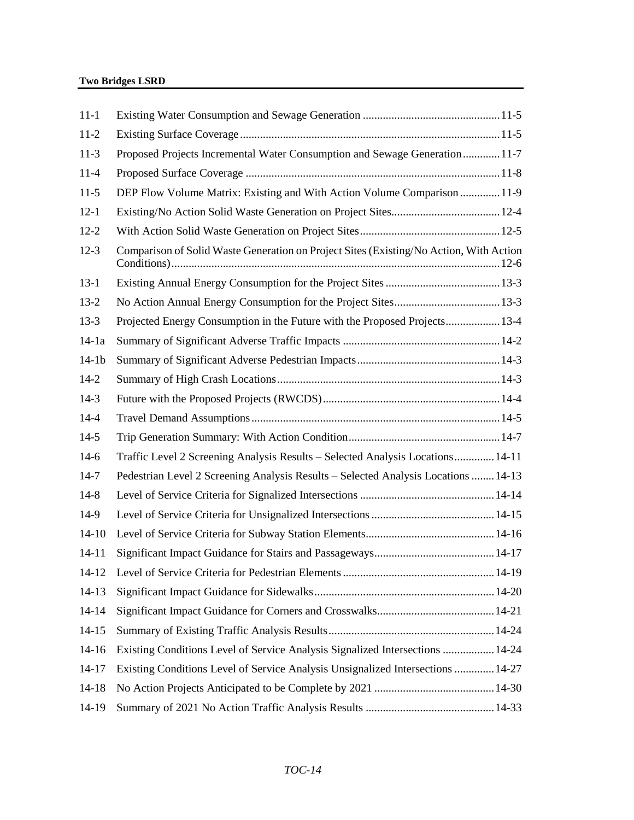| $11 - 1$  |                                                                                        |  |
|-----------|----------------------------------------------------------------------------------------|--|
| $11-2$    |                                                                                        |  |
| $11-3$    | Proposed Projects Incremental Water Consumption and Sewage Generation 11-7             |  |
| $11-4$    |                                                                                        |  |
| $11-5$    | DEP Flow Volume Matrix: Existing and With Action Volume Comparison  11-9               |  |
| $12 - 1$  |                                                                                        |  |
| $12 - 2$  |                                                                                        |  |
| $12-3$    | Comparison of Solid Waste Generation on Project Sites (Existing/No Action, With Action |  |
| $13-1$    |                                                                                        |  |
| $13-2$    |                                                                                        |  |
| $13-3$    | Projected Energy Consumption in the Future with the Proposed Projects 13-4             |  |
| $14-1a$   |                                                                                        |  |
| $14-1b$   |                                                                                        |  |
| $14 - 2$  |                                                                                        |  |
| $14-3$    |                                                                                        |  |
| $14 - 4$  |                                                                                        |  |
| $14-5$    |                                                                                        |  |
| $14-6$    | Traffic Level 2 Screening Analysis Results - Selected Analysis Locations 14-11         |  |
| $14-7$    | Pedestrian Level 2 Screening Analysis Results - Selected Analysis Locations  14-13     |  |
| $14-8$    |                                                                                        |  |
| 14-9      |                                                                                        |  |
| $14-10$   |                                                                                        |  |
| $14 - 11$ |                                                                                        |  |
|           |                                                                                        |  |
| $14-13$   |                                                                                        |  |
| $14 - 14$ |                                                                                        |  |
| $14 - 15$ |                                                                                        |  |
| $14-16$   | Existing Conditions Level of Service Analysis Signalized Intersections  14-24          |  |
| $14 - 17$ | Existing Conditions Level of Service Analysis Unsignalized Intersections  14-27        |  |
| $14 - 18$ |                                                                                        |  |
| 14-19     |                                                                                        |  |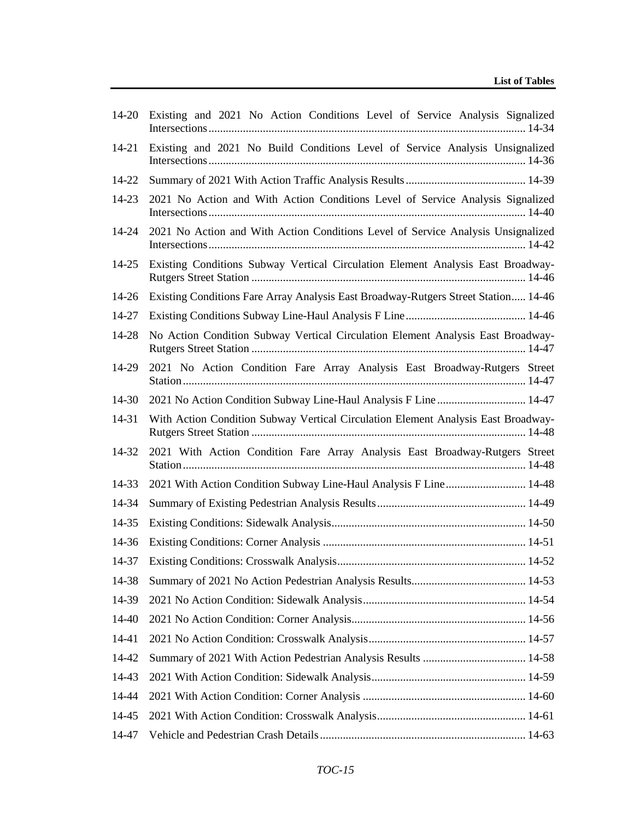| $14 - 20$ | Existing and 2021 No Action Conditions Level of Service Analysis Signalized        |
|-----------|------------------------------------------------------------------------------------|
| 14-21     | Existing and 2021 No Build Conditions Level of Service Analysis Unsignalized       |
| 14-22     |                                                                                    |
| 14-23     | 2021 No Action and With Action Conditions Level of Service Analysis Signalized     |
| 14-24     | 2021 No Action and With Action Conditions Level of Service Analysis Unsignalized   |
| 14-25     | Existing Conditions Subway Vertical Circulation Element Analysis East Broadway-    |
| 14-26     | Existing Conditions Fare Array Analysis East Broadway-Rutgers Street Station 14-46 |
| 14-27     |                                                                                    |
| 14-28     | No Action Condition Subway Vertical Circulation Element Analysis East Broadway-    |
| 14-29     | 2021 No Action Condition Fare Array Analysis East Broadway-Rutgers Street          |
| 14-30     | 2021 No Action Condition Subway Line-Haul Analysis F Line 14-47                    |
| 14-31     | With Action Condition Subway Vertical Circulation Element Analysis East Broadway-  |
| 14-32     | 2021 With Action Condition Fare Array Analysis East Broadway-Rutgers Street        |
| 14-33     | 2021 With Action Condition Subway Line-Haul Analysis F Line 14-48                  |
| 14-34     |                                                                                    |
| 14-35     |                                                                                    |
| 14-36     |                                                                                    |
| 14-37     |                                                                                    |
| 14-38     |                                                                                    |
| 14-39     |                                                                                    |
| 14-40     |                                                                                    |
| 14-41     |                                                                                    |
| 14-42     |                                                                                    |
| 14-43     |                                                                                    |
| 14-44     |                                                                                    |
| 14-45     |                                                                                    |
| 14-47     |                                                                                    |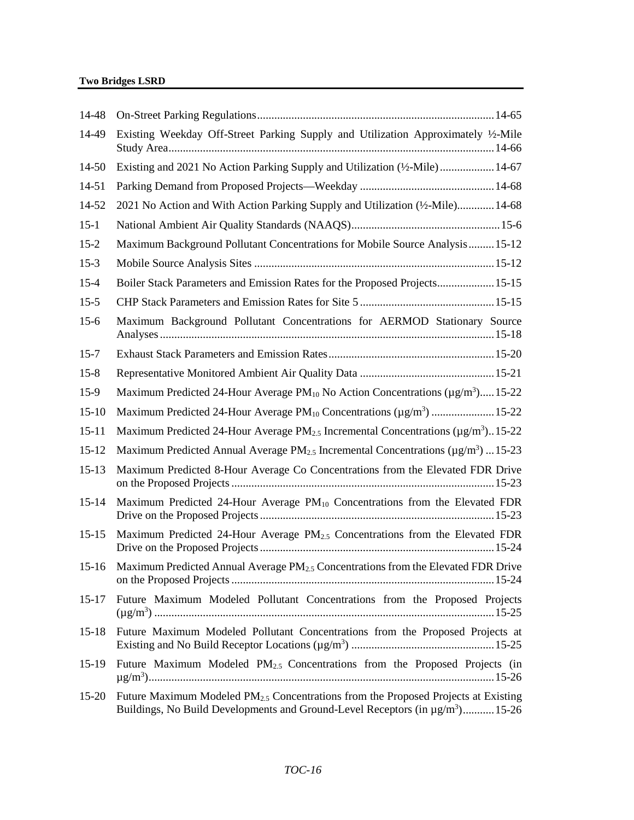| 14-48     |                                                                                                                                                                                            |
|-----------|--------------------------------------------------------------------------------------------------------------------------------------------------------------------------------------------|
| 14-49     | Existing Weekday Off-Street Parking Supply and Utilization Approximately 1/2-Mile                                                                                                          |
| 14-50     | Existing and 2021 No Action Parking Supply and Utilization (1/2-Mile)  14-67                                                                                                               |
| 14-51     |                                                                                                                                                                                            |
| 14-52     | 2021 No Action and With Action Parking Supply and Utilization (1/2-Mile) 14-68                                                                                                             |
| $15-1$    |                                                                                                                                                                                            |
| $15 - 2$  | Maximum Background Pollutant Concentrations for Mobile Source Analysis 15-12                                                                                                               |
| $15-3$    |                                                                                                                                                                                            |
| $15 - 4$  | Boiler Stack Parameters and Emission Rates for the Proposed Projects 15-15                                                                                                                 |
| $15 - 5$  |                                                                                                                                                                                            |
| $15-6$    | Maximum Background Pollutant Concentrations for AERMOD Stationary Source                                                                                                                   |
| $15 - 7$  |                                                                                                                                                                                            |
| $15 - 8$  |                                                                                                                                                                                            |
| $15-9$    | Maximum Predicted 24-Hour Average PM <sub>10</sub> No Action Concentrations (µg/m <sup>3</sup> ) 15-22                                                                                     |
| $15 - 10$ | Maximum Predicted 24-Hour Average PM <sub>10</sub> Concentrations (µg/m <sup>3</sup> )  15-22                                                                                              |
| $15 - 11$ | Maximum Predicted 24-Hour Average PM <sub>2.5</sub> Incremental Concentrations ( $\mu$ g/m <sup>3</sup> )15-22                                                                             |
| $15 - 12$ | Maximum Predicted Annual Average PM <sub>2.5</sub> Incremental Concentrations ( $\mu$ g/m <sup>3</sup> )  15-23                                                                            |
| $15 - 13$ | Maximum Predicted 8-Hour Average Co Concentrations from the Elevated FDR Drive                                                                                                             |
| $15 - 14$ | Maximum Predicted 24-Hour Average PM <sub>10</sub> Concentrations from the Elevated FDR                                                                                                    |
| $15 - 15$ | Maximum Predicted 24-Hour Average PM <sub>2.5</sub> Concentrations from the Elevated FDR                                                                                                   |
|           | 15-16 Maximum Predicted Annual Average PM <sub>2.5</sub> Concentrations from the Elevated FDR Drive                                                                                        |
| $15 - 17$ | Future Maximum Modeled Pollutant Concentrations from the Proposed Projects                                                                                                                 |
| $15-18$   | Future Maximum Modeled Pollutant Concentrations from the Proposed Projects at                                                                                                              |
| $15-19$   | Future Maximum Modeled PM <sub>2.5</sub> Concentrations from the Proposed Projects (in                                                                                                     |
| $15 - 20$ | Future Maximum Modeled PM <sub>2.5</sub> Concentrations from the Proposed Projects at Existing<br>Buildings, No Build Developments and Ground-Level Receptors (in µg/m <sup>3</sup> )15-26 |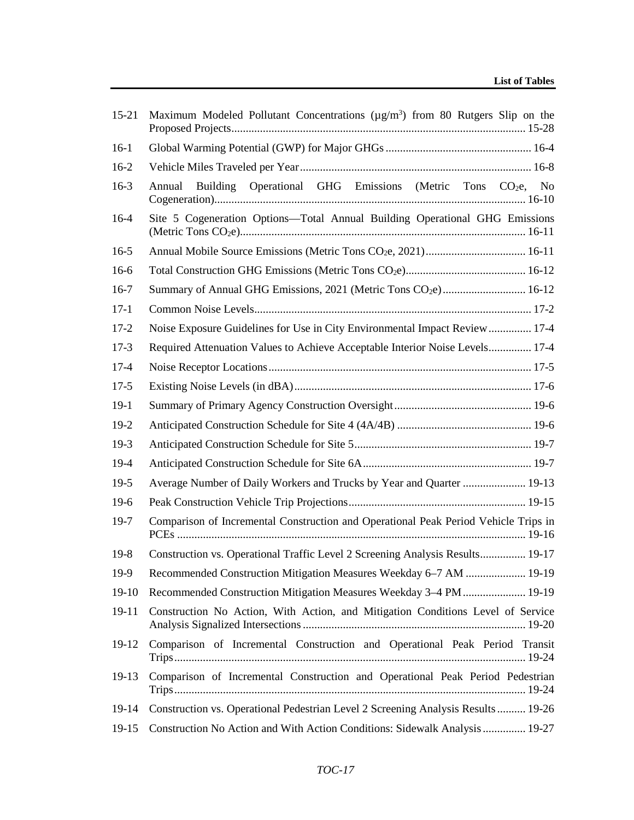| $15 - 21$ | Maximum Modeled Pollutant Concentrations ( $\mu$ g/m <sup>3</sup> ) from 80 Rutgers Slip on the |
|-----------|-------------------------------------------------------------------------------------------------|
| $16-1$    |                                                                                                 |
| $16-2$    |                                                                                                 |
| $16-3$    | Building Operational GHG Emissions (Metric Tons CO <sub>2</sub> e, No<br>Annual                 |
| $16-4$    | Site 5 Cogeneration Options-Total Annual Building Operational GHG Emissions                     |
| $16-5$    |                                                                                                 |
| $16-6$    |                                                                                                 |
| $16-7$    | Summary of Annual GHG Emissions, 2021 (Metric Tons CO <sub>2</sub> e) 16-12                     |
| $17-1$    |                                                                                                 |
| $17 - 2$  | Noise Exposure Guidelines for Use in City Environmental Impact Review 17-4                      |
| $17-3$    | Required Attenuation Values to Achieve Acceptable Interior Noise Levels 17-4                    |
| $17 - 4$  |                                                                                                 |
| $17-5$    |                                                                                                 |
| $19-1$    |                                                                                                 |
| $19-2$    |                                                                                                 |
| $19-3$    |                                                                                                 |
| $19-4$    |                                                                                                 |
| $19-5$    | Average Number of Daily Workers and Trucks by Year and Quarter  19-13                           |
| $19-6$    |                                                                                                 |
| $19-7$    | Comparison of Incremental Construction and Operational Peak Period Vehicle Trips in             |
| $19-8$    | Construction vs. Operational Traffic Level 2 Screening Analysis Results 19-17                   |
| $19-9$    | Recommended Construction Mitigation Measures Weekday 6–7 AM  19-19                              |
| $19-10$   | Recommended Construction Mitigation Measures Weekday 3-4 PM  19-19                              |
| $19-11$   | Construction No Action, With Action, and Mitigation Conditions Level of Service                 |
| 19-12     | Comparison of Incremental Construction and Operational Peak Period Transit                      |
| 19-13     | Comparison of Incremental Construction and Operational Peak Period Pedestrian                   |
| 19-14     | Construction vs. Operational Pedestrian Level 2 Screening Analysis Results  19-26               |
| 19-15     | Construction No Action and With Action Conditions: Sidewalk Analysis  19-27                     |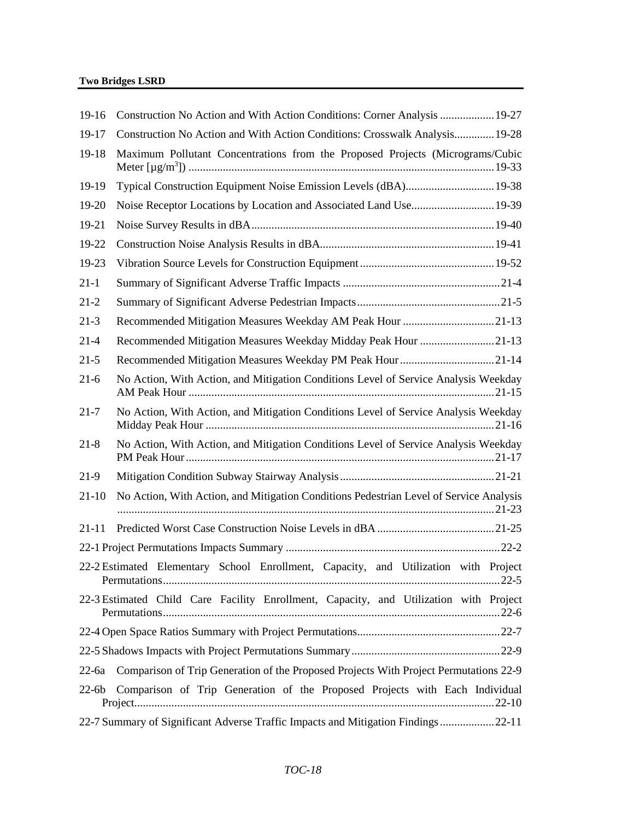| $19-16$   | Construction No Action and With Action Conditions: Corner Analysis  19-27              |
|-----------|----------------------------------------------------------------------------------------|
| 19-17     | Construction No Action and With Action Conditions: Crosswalk Analysis 19-28            |
| 19-18     | Maximum Pollutant Concentrations from the Proposed Projects (Micrograms/Cubic          |
| 19-19     | Typical Construction Equipment Noise Emission Levels (dBA) 19-38                       |
| 19-20     | Noise Receptor Locations by Location and Associated Land Use 19-39                     |
| 19-21     |                                                                                        |
| 19-22     |                                                                                        |
| 19-23     |                                                                                        |
| $21-1$    |                                                                                        |
| $21 - 2$  |                                                                                        |
| $21-3$    | Recommended Mitigation Measures Weekday AM Peak Hour 21-13                             |
| $21-4$    | Recommended Mitigation Measures Weekday Midday Peak Hour 21-13                         |
| $21-5$    |                                                                                        |
| $21-6$    | No Action, With Action, and Mitigation Conditions Level of Service Analysis Weekday    |
| $21 - 7$  | No Action, With Action, and Mitigation Conditions Level of Service Analysis Weekday    |
| $21 - 8$  | No Action, With Action, and Mitigation Conditions Level of Service Analysis Weekday    |
| 21-9      |                                                                                        |
| $21-10$   | No Action, With Action, and Mitigation Conditions Pedestrian Level of Service Analysis |
| $21 - 11$ |                                                                                        |
|           |                                                                                        |
|           | 22-2 Estimated Elementary School Enrollment, Capacity, and Utilization with Project    |
|           | 22-3 Estimated Child Care Facility Enrollment, Capacity, and Utilization with Project  |
|           |                                                                                        |
|           |                                                                                        |
| $22$ -6a  | Comparison of Trip Generation of the Proposed Projects With Project Permutations 22-9  |
| $22-6b$   | Comparison of Trip Generation of the Proposed Projects with Each Individual            |
|           | 22-7 Summary of Significant Adverse Traffic Impacts and Mitigation Findings 22-11      |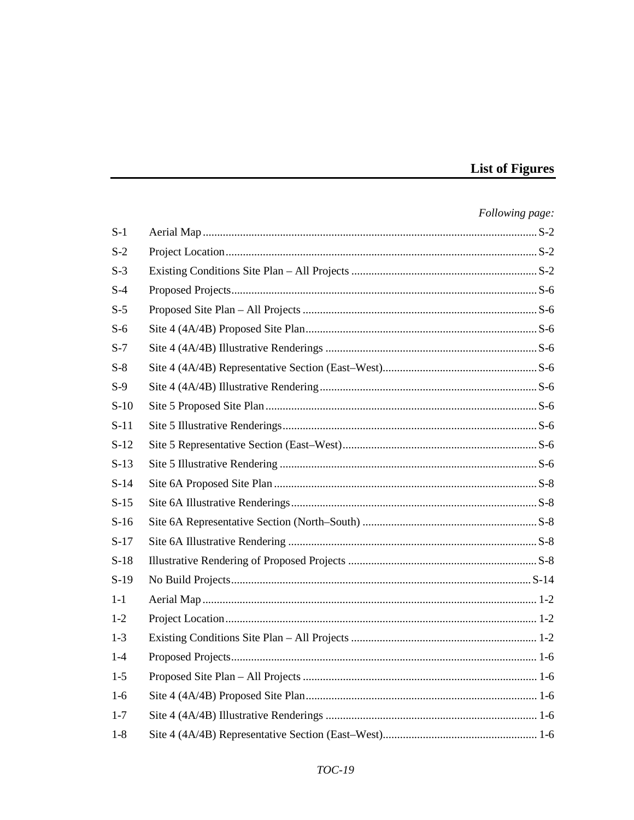#### **List of Figures**

#### Following page:  $S-1$  $S-2$  $S-3$  $S-4$  $S-5$  $S-6$  $S-7$  $S-8$  $S-9$  $S-10$  $S-11$  $S-12$  $S-13$  $S-14$  $S-15$  $S-16$  $S-17$  $S-18$  $S-19$  $1 - 1$  $1-2$  $1 - 3$  $1 - 4$  $1-5$  $1-6$  $1 - 7$  $1-8$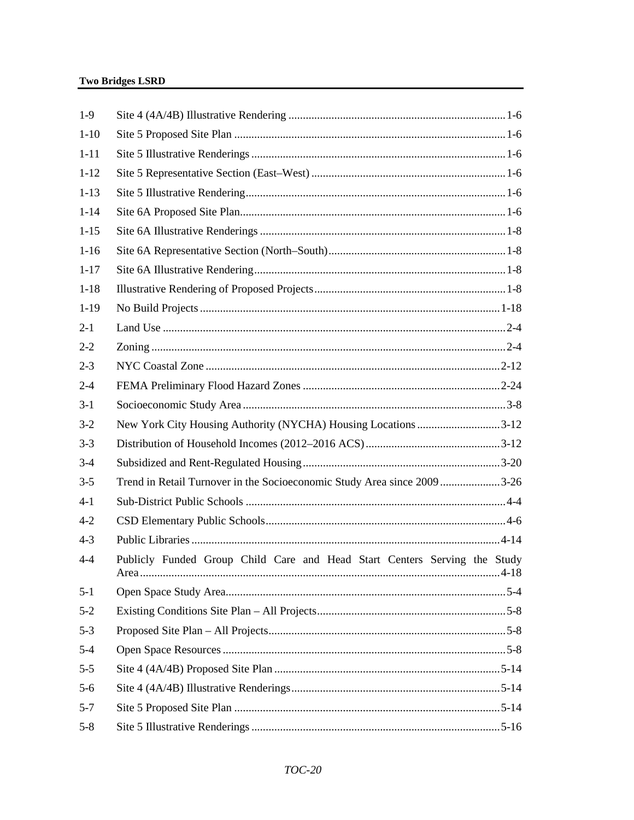| $1-9$    |                                                                           |  |
|----------|---------------------------------------------------------------------------|--|
| $1-10$   |                                                                           |  |
| $1 - 11$ |                                                                           |  |
| $1 - 12$ |                                                                           |  |
| $1 - 13$ |                                                                           |  |
| $1 - 14$ |                                                                           |  |
| $1 - 15$ |                                                                           |  |
| $1 - 16$ |                                                                           |  |
| $1 - 17$ |                                                                           |  |
| $1 - 18$ |                                                                           |  |
| $1-19$   |                                                                           |  |
| $2 - 1$  |                                                                           |  |
| $2 - 2$  |                                                                           |  |
| $2 - 3$  |                                                                           |  |
| $2 - 4$  |                                                                           |  |
| $3-1$    |                                                                           |  |
| $3-2$    | New York City Housing Authority (NYCHA) Housing Locations 3-12            |  |
| $3 - 3$  |                                                                           |  |
| $3-4$    |                                                                           |  |
| $3 - 5$  | Trend in Retail Turnover in the Socioeconomic Study Area since 20093-26   |  |
| $4-1$    |                                                                           |  |
| $4 - 2$  |                                                                           |  |
| $4 - 3$  |                                                                           |  |
| $4 - 4$  | Publicly Funded Group Child Care and Head Start Centers Serving the Study |  |
| $5 - 1$  |                                                                           |  |
| $5 - 2$  |                                                                           |  |
| $5 - 3$  |                                                                           |  |
| $5 - 4$  |                                                                           |  |
| $5 - 5$  |                                                                           |  |
| $5-6$    |                                                                           |  |
| $5 - 7$  |                                                                           |  |
| $5 - 8$  |                                                                           |  |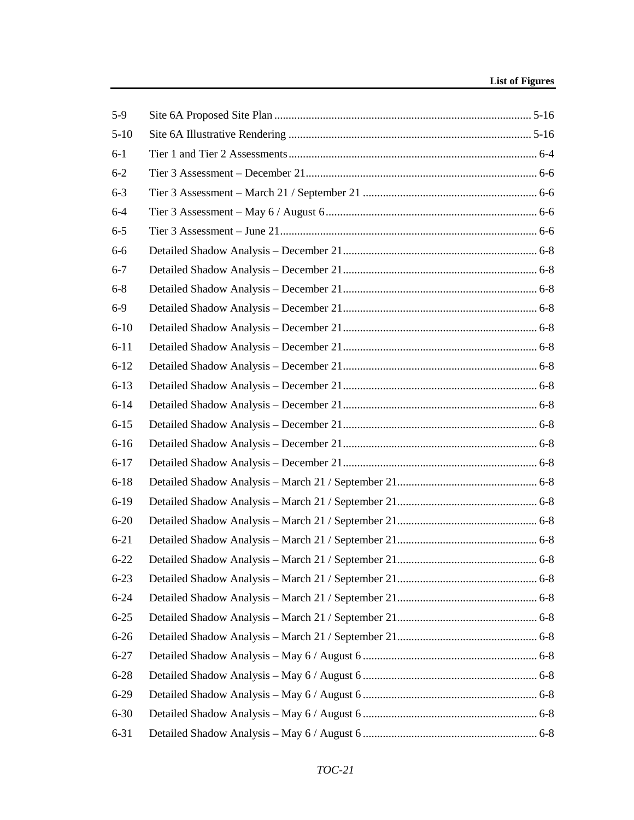| $5-9$    |  |
|----------|--|
| $5 - 10$ |  |
| $6-1$    |  |
| $6 - 2$  |  |
| $6 - 3$  |  |
| $6 - 4$  |  |
| $6 - 5$  |  |
| $6-6$    |  |
| $6 - 7$  |  |
| $6 - 8$  |  |
| $6-9$    |  |
| $6 - 10$ |  |
| $6 - 11$ |  |
| $6 - 12$ |  |
| $6 - 13$ |  |
| $6 - 14$ |  |
| $6 - 15$ |  |
| $6 - 16$ |  |
| $6 - 17$ |  |
| $6 - 18$ |  |
| $6-19$   |  |
| $6 - 20$ |  |
| $6 - 21$ |  |
| $6 - 22$ |  |
| $6 - 23$ |  |
| $6 - 24$ |  |
| $6 - 25$ |  |
| $6 - 26$ |  |
| $6 - 27$ |  |
| $6 - 28$ |  |
| $6-29$   |  |
| $6 - 30$ |  |
| $6 - 31$ |  |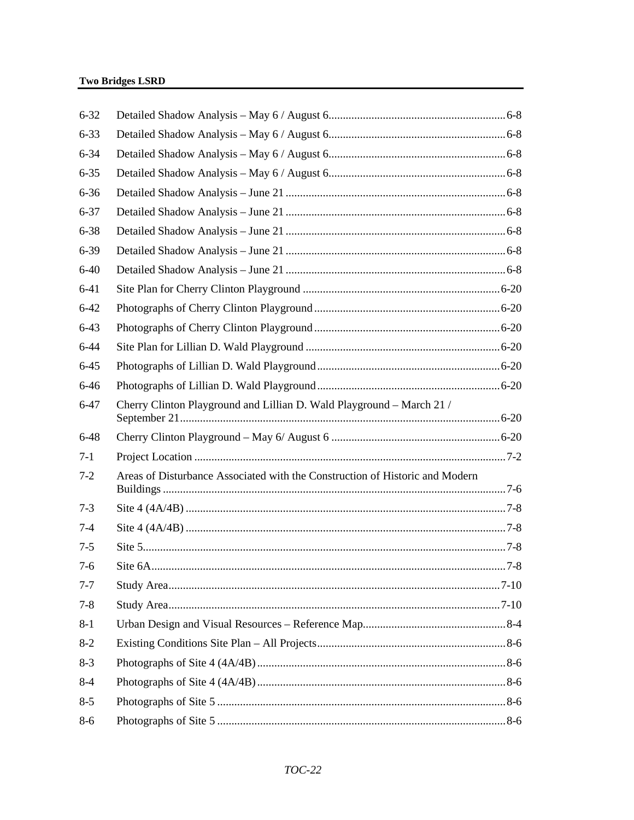| $6 - 32$ |                                                                              |  |
|----------|------------------------------------------------------------------------------|--|
| $6 - 33$ |                                                                              |  |
| $6 - 34$ |                                                                              |  |
| $6 - 35$ |                                                                              |  |
| $6 - 36$ |                                                                              |  |
| $6 - 37$ |                                                                              |  |
| $6 - 38$ |                                                                              |  |
| $6 - 39$ |                                                                              |  |
| $6 - 40$ |                                                                              |  |
| $6 - 41$ |                                                                              |  |
| $6 - 42$ |                                                                              |  |
| $6 - 43$ |                                                                              |  |
| $6 - 44$ |                                                                              |  |
| $6 - 45$ |                                                                              |  |
| $6 - 46$ |                                                                              |  |
| $6 - 47$ | Cherry Clinton Playground and Lillian D. Wald Playground - March 21 /        |  |
| $6 - 48$ |                                                                              |  |
| $7 - 1$  |                                                                              |  |
| $7 - 2$  | Areas of Disturbance Associated with the Construction of Historic and Modern |  |
| $7 - 3$  |                                                                              |  |
| $7 - 4$  |                                                                              |  |
| $7 - 5$  |                                                                              |  |
| $7-6$    |                                                                              |  |
| $7 - 7$  |                                                                              |  |
| $7 - 8$  |                                                                              |  |
| $8 - 1$  |                                                                              |  |
| $8 - 2$  |                                                                              |  |
| $8-3$    |                                                                              |  |
| $8 - 4$  |                                                                              |  |
| $8 - 5$  |                                                                              |  |
| $8-6$    |                                                                              |  |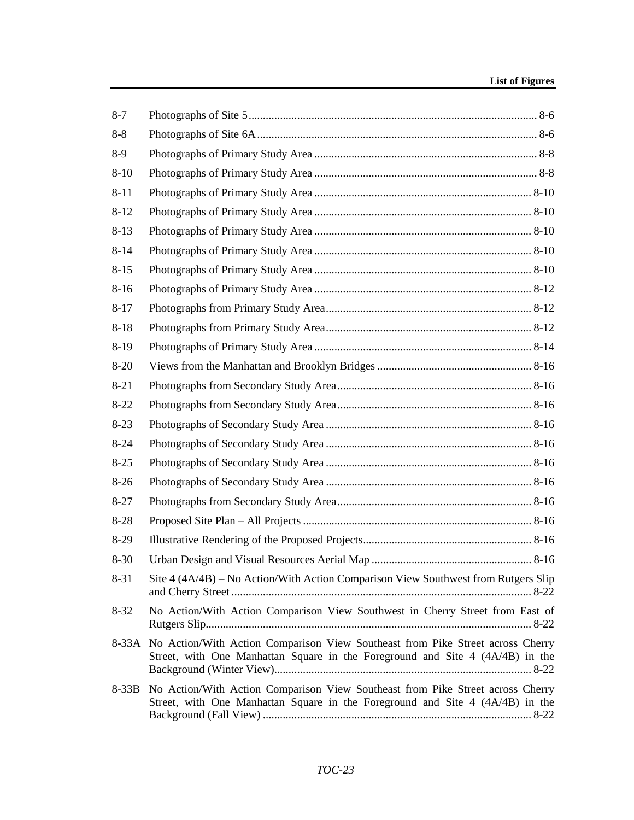| $8 - 7$  |                                                                                                                                                                       |
|----------|-----------------------------------------------------------------------------------------------------------------------------------------------------------------------|
| $8 - 8$  |                                                                                                                                                                       |
| $8-9$    |                                                                                                                                                                       |
| $8 - 10$ |                                                                                                                                                                       |
| $8 - 11$ |                                                                                                                                                                       |
| $8 - 12$ |                                                                                                                                                                       |
| $8-13$   |                                                                                                                                                                       |
| $8 - 14$ |                                                                                                                                                                       |
| $8 - 15$ |                                                                                                                                                                       |
| $8-16$   |                                                                                                                                                                       |
| $8-17$   |                                                                                                                                                                       |
| $8 - 18$ |                                                                                                                                                                       |
| $8-19$   |                                                                                                                                                                       |
| $8-20$   |                                                                                                                                                                       |
| $8 - 21$ |                                                                                                                                                                       |
| $8 - 22$ |                                                                                                                                                                       |
| $8-23$   |                                                                                                                                                                       |
| $8 - 24$ |                                                                                                                                                                       |
| $8 - 25$ |                                                                                                                                                                       |
| $8-26$   |                                                                                                                                                                       |
| $8 - 27$ |                                                                                                                                                                       |
| $8 - 28$ |                                                                                                                                                                       |
| $8-29$   |                                                                                                                                                                       |
| $8 - 30$ |                                                                                                                                                                       |
| $8 - 31$ | Site 4 (4A/4B) – No Action/With Action Comparison View Southwest from Rutgers Slip                                                                                    |
| $8 - 32$ | No Action/With Action Comparison View Southwest in Cherry Street from East of                                                                                         |
|          | 8-33A No Action/With Action Comparison View Southeast from Pike Street across Cherry<br>Street, with One Manhattan Square in the Foreground and Site 4 (4A/4B) in the |
| $8-33B$  | No Action/With Action Comparison View Southeast from Pike Street across Cherry<br>Street, with One Manhattan Square in the Foreground and Site 4 (4A/4B) in the       |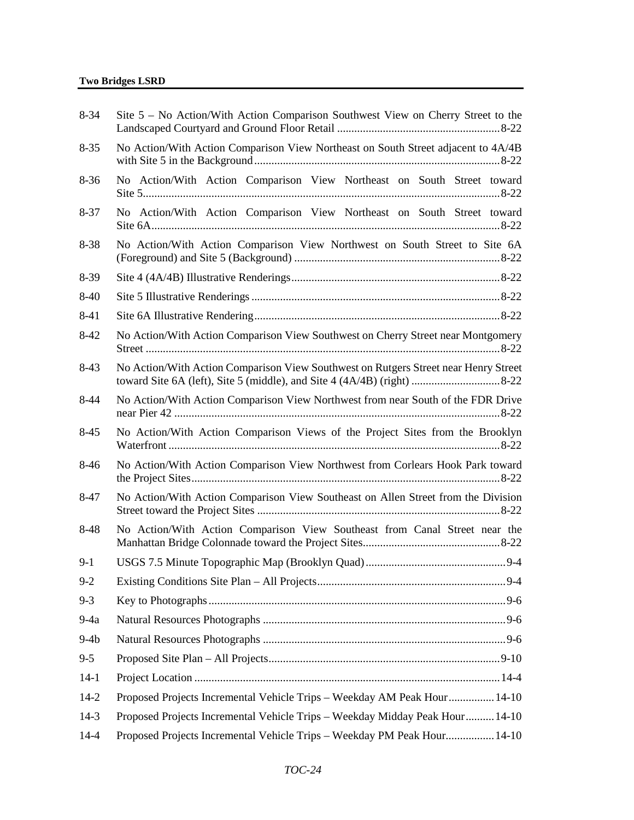| $8 - 34$ | Site 5 – No Action/With Action Comparison Southwest View on Cherry Street to the    |
|----------|-------------------------------------------------------------------------------------|
| $8 - 35$ | No Action/With Action Comparison View Northeast on South Street adjacent to 4A/4B   |
| $8 - 36$ | No Action/With Action Comparison View Northeast on South Street toward              |
| $8 - 37$ | No Action/With Action Comparison View Northeast on South Street toward              |
| 8-38     | No Action/With Action Comparison View Northwest on South Street to Site 6A          |
| 8-39     |                                                                                     |
| $8-40$   |                                                                                     |
| 8-41     |                                                                                     |
| $8-42$   | No Action/With Action Comparison View Southwest on Cherry Street near Montgomery    |
| $8-43$   | No Action/With Action Comparison View Southwest on Rutgers Street near Henry Street |
| $8-44$   | No Action/With Action Comparison View Northwest from near South of the FDR Drive    |
| $8-45$   | No Action/With Action Comparison Views of the Project Sites from the Brooklyn       |
| 8-46     | No Action/With Action Comparison View Northwest from Corlears Hook Park toward      |
| 8-47     | No Action/With Action Comparison View Southeast on Allen Street from the Division   |
| 8-48     | No Action/With Action Comparison View Southeast from Canal Street near the          |
| $9-1$    |                                                                                     |
| $9 - 2$  |                                                                                     |
| $9 - 3$  |                                                                                     |
| $9-4a$   |                                                                                     |
| $9-4b$   |                                                                                     |
| $9 - 5$  |                                                                                     |
| $14-1$   |                                                                                     |
| $14-2$   | Proposed Projects Incremental Vehicle Trips - Weekday AM Peak Hour 14-10            |
| $14-3$   | Proposed Projects Incremental Vehicle Trips - Weekday Midday Peak Hour 14-10        |
| $14 - 4$ | Proposed Projects Incremental Vehicle Trips - Weekday PM Peak Hour 14-10            |